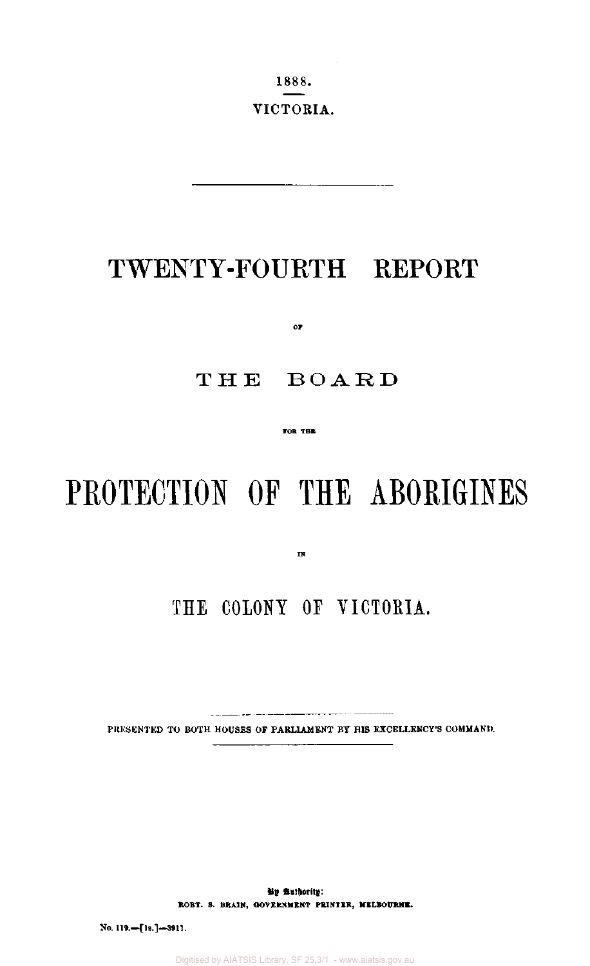1888. VICTORIA.

# TWENTY-FOURTH REPORT

**OF** 

### THE BOARD

**FOB THE** 

# **PROTECTION OF THE ABORIGINES**

 $\overline{\mathbf{B}}$ 

# **THE COLONY OF VICTORIA.**

PRESENTED TO BOTH **HOUSES** OF **PARLIAMENT BY HIS EXCELLENCY'S COMMAND.** 

**By Authority: ROBT. S. BRAIN, GOVERNMENT PRINTER, MELBOURNE.** 

**No. 119.—[ls.]—3911.** 

Digitised by AIATSIS Library, SF 25.3/1 - www.aiatsis.gov.au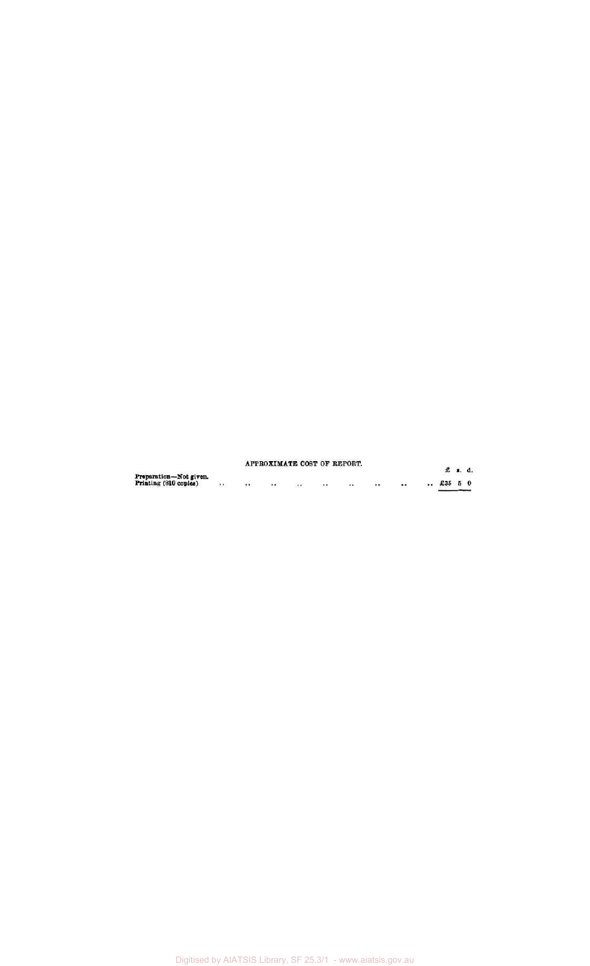|                        |      |                      |         | APPROXIMATE COST OF REPORT. |         |          |            |         |
|------------------------|------|----------------------|---------|-----------------------------|---------|----------|------------|---------|
| Preparation-Not given. |      |                      |         |                             |         |          |            | £ 1. d. |
| Printing (810 copies)  | <br> | <br>$\bullet\bullet$ | $\cdot$ | $^{+ +}$                    | $\cdot$ | $\cdots$ | $$ £35 5 0 |         |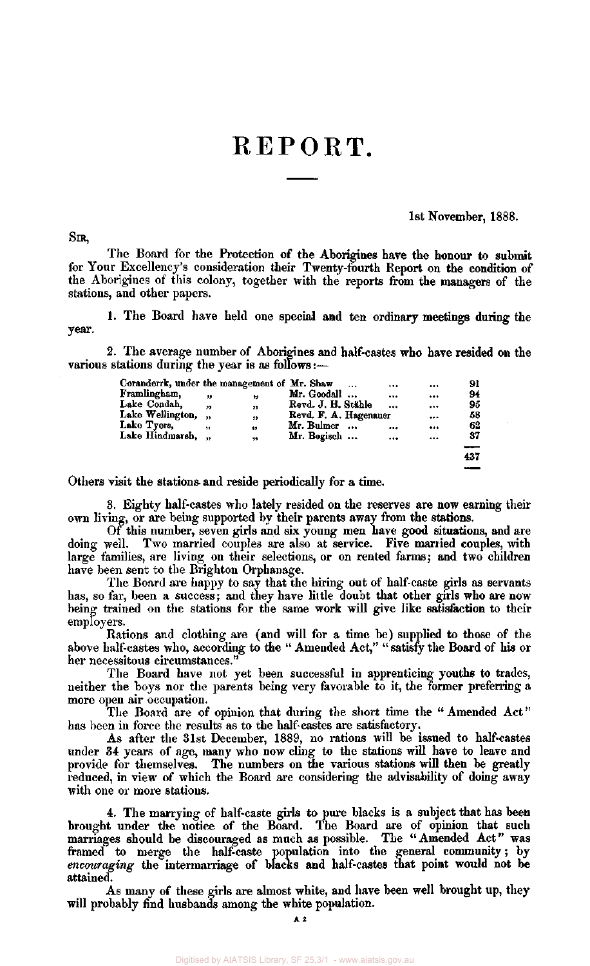# REPORT.

1st November, 1888.

SIR,

The Board for the Protection of the Aborigines have the honour to submit for Your Excellency's consideration their Twenty-fourth Report on the condition of the Aborigines of this colony, together with the reports from the managers of the stations, and other papers.

1. The Board have held one special and ten ordinary meetings during the year.

2. The average number of Aborigines and half-castes who have resided on the various stations during the year is as follows:—

| Coranderrk, under the management of Mr. Shaw |            |           |                       | $\cdots$  | <br>         | 91  |
|----------------------------------------------|------------|-----------|-----------------------|-----------|--------------|-----|
| Framlingham,                                 | ,,         | ,,        | Mr. Goodall           |           | <br>         | 94  |
| Lake Condah,                                 | ,,         | 33        | Revd. J. H. Stähle    |           | <br>$\cdots$ | 95  |
| Lake Wellington,                             | $^{\circ}$ | $^{\ast}$ | Revd. F. A. Hagenauer |           |              | 58  |
| Lake Tyers,                                  |            | 99        | Mr. Bulmer            | $\bullet$ | <br>         | 62  |
| Lake Hindmarsh, "                            |            | ,,        | Mr. Bogisch           |           | <br>         | 37  |
|                                              |            |           |                       |           |              | $-$ |
|                                              |            |           |                       |           |              | 437 |

Others visit the stations and reside periodically for a time.

3. Eighty half-castes who lately resided on the reserves are now earning their own living, or are being supported by their parents away from the stations.

Of this number, seven girls and six young men have good situations, and are doing well. Two married couples are also at service. Five married couples, with large families, are living on their selections, or on rented farms; and two children have been sent to the Brighton Orphanage.

The Board are happy to say that the hiring out of half-caste girls as servants has, so far, been a success; and they have little doubt that other girls who are now being trained on the stations for the same work will give like satisfaction to their employers.

Rations and clothing are (and will for a time be) supplied to those of the above half-castes who, according to the " Amended Act," " satisfy the Board of his or her necessitous circumstances."

The Board have not yet been successful in apprenticing youths to trades, neither the boys nor the parents being very favorable to it, the former preferring a more open air occupation.

The Board are of opinion that during the short time the " Amended Act" has been in force the results as to the half-castes are satisfactory.

As after the 31st December, 1889, no rations will be issued to half-castes under 34 years of age, many who now cling to the stations will have to leave and provide for themselves. The numbers on the various stations will then be greatly reduced, in view of which the Board are considering the advisability of doing away with one or more stations.

4. The marrying of half-caste girls to pure blacks is a subject that has been brought under the notice of the Board. The Board are of opinion that such marriages should be discouraged as much as possible. The " Amended Act" was framed to merge the half-caste population into the general community; by *encouraging* the intermarriage of blacks and half-castes that point would not be attained.

As many of these girls are almost white, and have been well brought up, they will probably find husbands among the white population.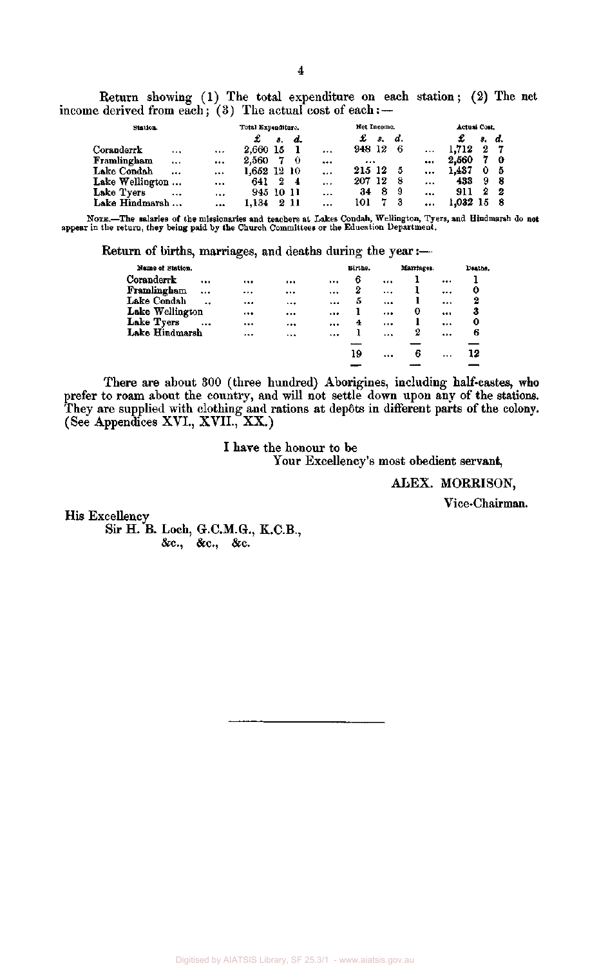Return showing (1) The total expenditure on each station; (2) The net income derived from each; (3) The actual cost of each:  $-$ 

| Station.        |          |          | Total Expenditure. |    |               |           | Net Income. |    |    |           | Actual Cost. |    |              |
|-----------------|----------|----------|--------------------|----|---------------|-----------|-------------|----|----|-----------|--------------|----|--------------|
|                 |          |          |                    | 8. | d.            |           | £           | В. | d. |           |              | з. | d.           |
| Coranderrk      |          | $\cdots$ | 2,660 15           |    |               |           | 948 12      |    | 6  | $\cdots$  | 1.712        | 2  | - 7          |
| Framlingham     | $\cdots$ |          | 2.560              |    | - 0           |           | $\cdots$    |    |    | $\ddotsc$ | 2.560        |    | $\mathbf{o}$ |
| Lake Condah     | $\cdots$ | $\cdots$ |                    |    |               | $\cdots$  | 215 12      |    | 5  |           | 1.487        | 0  | - 5          |
| Lake Wellington |          |          | 641                | 2  | $\frac{4}{3}$ | $\ddotsc$ | 207 12      |    | -8 |           | 433          | 9  | -8           |
| Lake Tyers      | $\cdots$ |          | 945 10 11          |    |               | $\cdots$  | 34          | 8  | -9 |           | 911          | 2  | -2           |
| Lake Hindmarsh  |          |          | 1.134              | -2 | -11           | .         | 101         |    | 3  |           | 1.032        |    | -8           |

NOTE.—The salaries of the missionaries and teachers at Lakes Condah, Wellington, Tyers, and Hindmarsh do not appear in the return, they being paid by the Church Committees or the Education Department.

Return of births, marriages, and deaths during the year:

| Name of Station.                    |              |          | Births. |          | Marriages. | Deaths |
|-------------------------------------|--------------|----------|---------|----------|------------|--------|
| Coranderrk<br>                      | <br>         | $\cdots$ | 6       | $\cdots$ |            |        |
| Framlingham<br>$\cdots$             | <br>         |          | 2       |          |            | <br>0  |
| Lake Condah<br>$\ddot{\phantom{0}}$ | <br>$\cdots$ |          | 5       | $\cdots$ |            | <br>2  |
| Lake Wellington                     | <br>         |          |         |          | 0          | <br>3  |
| Lake Tyers<br>$\ddotsc$             | <br>         |          | 4       |          |            | <br>0  |
| Lake Hindmarsh                      | <br>         |          | ı       | $\cdots$ | 2          | <br>6  |
|                                     |              |          |         |          |            |        |
|                                     |              |          | 19      |          | 6          | <br>12 |
|                                     |              |          |         |          |            |        |

There are about 300 (three hundred) Aborigines, including half-castes, who prefer to roam about the country, and will not settle down upon any of the stations. They are supplied with clothing and rations at dep6ts in different parts of the colony. (See Appendices XVI., XVII., XX.)

> I have the honour to be Your Excellency's most obedient servant,

> > ALEX. MORRISON,

Vice-Chairman.

His Excellency Sir H. B. Loch, G.C.M.G., K.C.B., &c, &c, &c.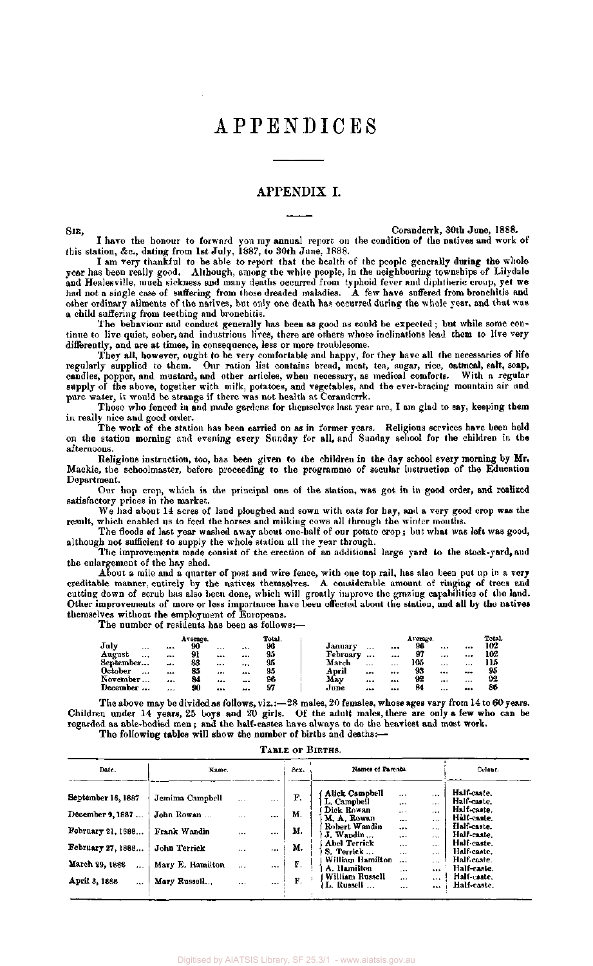### APPENDICES

### APPENDIX I.

SIR, Coranderrk. 30th June, 1888.

I have the honour to forward you my annual report on the condition of the natives and work of this station, &c., dating from 1st July, 1887, to 30th June, 1888.

I am very thankful to be able to report that the health of the people generally during the whole year has been really good. Although, among the white people, in the neighbouring townships of Lilydale and Healesville, much sickness and many deaths occurred from typhoid fever and diphtheric croup, yet we had not a single case of suffering from those dreaded maladies. A few have suffered from bronchitis and other ordinary ailments of the natives, but only one death has occurred during the whole year, and that was a child suffering from teething and bronchitis.

The behaviour and conduct generally has been as good as could be expected; but while some continue to live quiet, sober, and industrious lives, there are others whose inclinations lead them to live very differently, and are at times, in consequence, less or more troublesome.

They all, however, ought to be very comfortable and happy, for they have all the necessaries of life regularly supplied to them. Our ration list contains bread, meat, tea, sugar, rice, oatmeal, salt, soap, candles, pepper, and mustard, and other articles, when necessary, as medical comforts. With a regular supply of the above, together with milk, potatoes, and vegetables, and the ever-bracing mountain air and pure water, it would be strange if there was not health at Coranderrk.

Those who fenced in and made gardens for themselves last year are, I am glad to say, keeping them in really nice and good order.

The work of the station has been carried on as in former years. Religious services have been held on the station morning and evening every Sunday for all, and Sunday school for the children in the afternoons.

Religious instruction, too, has been given to the children in the day school every morning by Mr. Mackie, the schoolmaster, before proceeding to the programme of secular instruction of the Education Department.

Our hop crop, which is the principal one of the station, was got in in good order, and realized satisfactory prices in the market.

We had about 14 acres of land ploughed and sown with oats for hay, and a very good crop was the result, which enabled us to feed the horses and milking cows all through the winter months.

The floods of last year washed away about one-half of our potato crop; but what was left was good, although not sufficient to supply the whole station all the year through.

The improvements made consist of the erection of an additional large yard to the stock-yard, and the enlargement of the hay shed.

About a mile and a quarter of post and wire fence, with one top rail, has also been put up in a very creditable manner, entirely by the natives themselves. A considerable amount of ringing of trees and cutting down of scrub has also been done, which will greatly improve the grazing capabilities of the land. Other improvements of more or less importance have been effected about the station, and all by the natives themselves without the employment of Europeans.

The number of residents has been as follows:—

|           |          |          | Average. |          |    | Total. |          |          |          | Average. |          |          | Total. |
|-----------|----------|----------|----------|----------|----|--------|----------|----------|----------|----------|----------|----------|--------|
| July      |          |          | 90       | $\cdots$ |    | 96     | January  |          |          | 96       |          |          | 102    |
| August    | $\cdots$ | $\cdots$ | 91       |          |    | 95     | February |          |          | 97       |          |          | 102    |
| September |          |          | 88       |          |    | 95     | March    | $\cdots$ | $\cdots$ | 105      |          | 1.1.1    | 115    |
| October   |          |          | 85       |          | $$ | 95     | April    |          |          | 93       | $\cdots$ |          | 95     |
| November  | $\cdots$ |          | 84       |          |    | 96     | Mav      |          |          | 92       |          | $\cdots$ | 92     |
| December  |          |          | 90       |          |    | 97     | June     | $\cdots$ |          | 84       |          |          | 86     |

The above may be divided as follows, viz.:—28 males, 20 females, whose ages vary from 14 to 60 years. Children under 14 years, 25 boys and 20 girls. Of the adult males, there are only a few who can be regarded as able-bodied men; and the half-castes have always to do the heaviest and most work. The following tables will show the number of births and deaths:-

#### TABLE OF BIRTHS.

| Date.                      | Name.            |           |           | Sex. | Names of Parents.               |                                                  | Colour.                    |  |
|----------------------------|------------------|-----------|-----------|------|---------------------------------|--------------------------------------------------|----------------------------|--|
| September 16, 1887         | Jemima Campbell  | $\ddotsc$ | $\cdots$  | F.   | Alick Campbell<br>L. Campbell   | $\cdots$<br>$\cdots$<br><br>$\cdots$             | Half-caste.<br>Half-caste. |  |
| December 9, 1887           | John Rowan       | $\cdots$  | 1.74      | м.   | Dick Rowan<br>M. A. Rowan       | $\cdots$<br>$\cdots$<br><br>$\cdots$             | Half-caste.<br>Hålf-caste. |  |
| February 21, 1888          | Frank Wandin     | $\cdots$  | $\ddotsc$ | м.   | Robert Wandin<br>J. Wandin      | <br>$\cdots$<br><br>$***$                        | Half-caste.<br>Half-caste. |  |
| February 27, 1888          | John Terrick     | $\cdots$  | $\cdots$  | М.   | Abel Terrick<br>S. Terrick      | $\cdots$<br>$\cdots$<br>$\cdots$<br>$\cdots$     | Half-caste.<br>Half-caste, |  |
| March 29, 1888<br>$\cdots$ | Mary E. Hamilton | $\cdots$  | $\cdots$  | F.   | William Hamilton<br>A. Hamilton | <br>$\ddot{\phantom{0}}$<br>$\cdots$<br>$\cdots$ | Half-caste.<br>Half-caste. |  |
| April 3, 1888<br>$\cdots$  | Mary Russell     | $\cdots$  | $\cdots$  | F.   | William Russell<br>L. Russell   | $\cdots$<br>.<br><br>$\cdots$                    | Half-caste.<br>Half-caste. |  |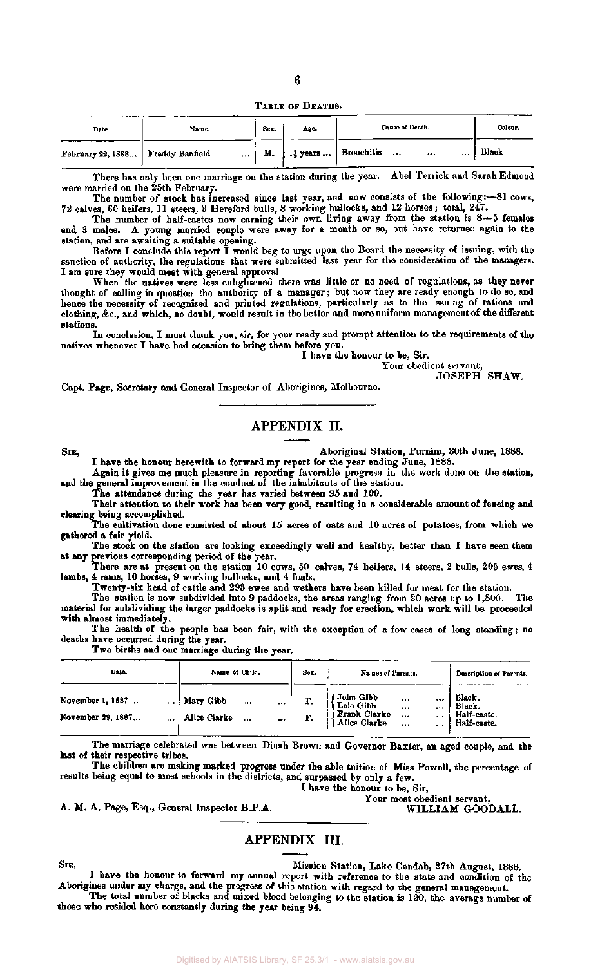TABLE OF DEATHS.

| Date.                                    | Name. | Sex. | Age. | Cause of Death.                                                               | Colour. |
|------------------------------------------|-------|------|------|-------------------------------------------------------------------------------|---------|
| .<br>February 22, 1888   Freddy Banfield |       | М.   |      | 1 <sup>1</sup> / <sub>2</sub> years    Bronchitis<br>$\cdots$<br><br>$\cdots$ | Black   |

There has only been one marriage on the station during the year. Abel Terrick and Sarah Edmond were married on the 25th February.

The number of stock has increased since last year, and now consists of the following:—81 cows, 72 calves, 60 heifers, 11 steers, 3 Hereford bulls, 8 working bullocks, and 12 horses; total, 247.

The number of half-castes now earning their own living away from the station is 8—5 females and 3 males. A young married couple were away for a month or so, but have returned again to the station, and are awaiting a suitable opening.

Before I conclude this report I would beg to urge upon the Board the necessity of issuing, with the sanction of authority, the regulations that were submitted last year for the consideration of the managers. I am sure they would meet with general approval.

When the natives were less enlightened there was little or no need of regulations, as they never thought of calling in question the authority of a manager; but now they are ready enough to do so, and hence the necessity of recognised and printed regulations, particularly as to the issuing of rations and clothing, &c , and which, no doubt, would result in the better and more uniform management of the different stations.

In conclusion, I must thank you, sir, for your ready and prompt attention to the requirements of the natives whenever I have had occasion to bring them before you.

I have the honour to be, Sir,

Your obedient servant,

JOSEPH SHAW.

Capt. Page, Secretary and General Inspector of Aborigines, Melbourne.

### APPENDIX II.

SIB, Aboriginal Station, Purnim, 30th June, 1888.

I have the honour herewith to forward my report for the year ending June, 1888. Again it gives me much pleasure in reporting favorable progress in the work done on the station,

and the general improvement in the conduct of the inhabitants of the station.

The attendance during the year has varied between 95 and 100.

Their attention to their work has been very good, resulting in a considerable amount of fencing and clearing being accomplished.

The cultivation done consisted of about 15 acres of oats and 10 acres of potatoes, from which we gathered a fair yield.

The stock on the station are looking exceedingly well and healthy, better than I have seen them at any previous corresponding period of the year.

There are at present on the station 10 cows, 50 calves, 74 heifers, 14 steers, 2 bulls, 205 ewes, 4 lambs, 4 rams, 10 horses, 9 working bullocks, and 4 foals.

Twenty-six head of cattle and 293 ewes and wethers have been killed for meat for the station.<br>The station is now subdivided into 9 paddocks, the areas ranging from 20 acres up to 1,800. The

The station is now subdivided into 9 paddocks, the areas ranging from 20 acres up to  $1,800$ . material for subdividing the larger paddocks is split and ready for erection, which work will be proceeded with almost immediately.

The health of the people has been fair, with the exception of a few cases of long standing; no deaths have occurred during the year.

Two births and one marriage during the year.

| Date.                                     | Name of Child.                                                         | Sez. | Names of Parents.                                                                                                          | Description of Parenis.                        |
|-------------------------------------------|------------------------------------------------------------------------|------|----------------------------------------------------------------------------------------------------------------------------|------------------------------------------------|
| November 1, 1687<br><br>November 29, 1887 | Mary Gibb<br>$***$<br>$\cdots$<br>Alice Clarke<br>$\cdots$<br>$\cdots$ | F.   | John Gibb<br>Lolo Gibb<br>Frank Clarke<br>Alice Clarke<br>$\cdots$<br>11.5<br><br>$\cdots$<br><br>$\cdots$<br><br>$\cdots$ | Black.<br>Black.<br>Half-caste.<br>Half-caste. |

The marriage celebrated was between Dinah Brown and Governor Baxter, an aged couple, and the last of their respective tribes.

The children are making marked progress under the able tuition of Miss Powell, the percentage of results being equal to most schools in the districts, and surpassed by only a few.

I have the honour to be, Sir,

A. M. A. Page, Esq., General Inspector B.P.A.

Your most obedient servant,<br>WILLIAM GOODALL.

#### APPENDIX III.

SIR, Nission Station, Lake Condah, 27th August, 1888. I have the honour to forward my annual report with reference to the state and condition of the Aborigines under my charge, and the progress of this station with regard to the general management.

The total number of blacks and mixed blood belonging to the station is 120, the average number of those who resided here constantly during the year being 94.